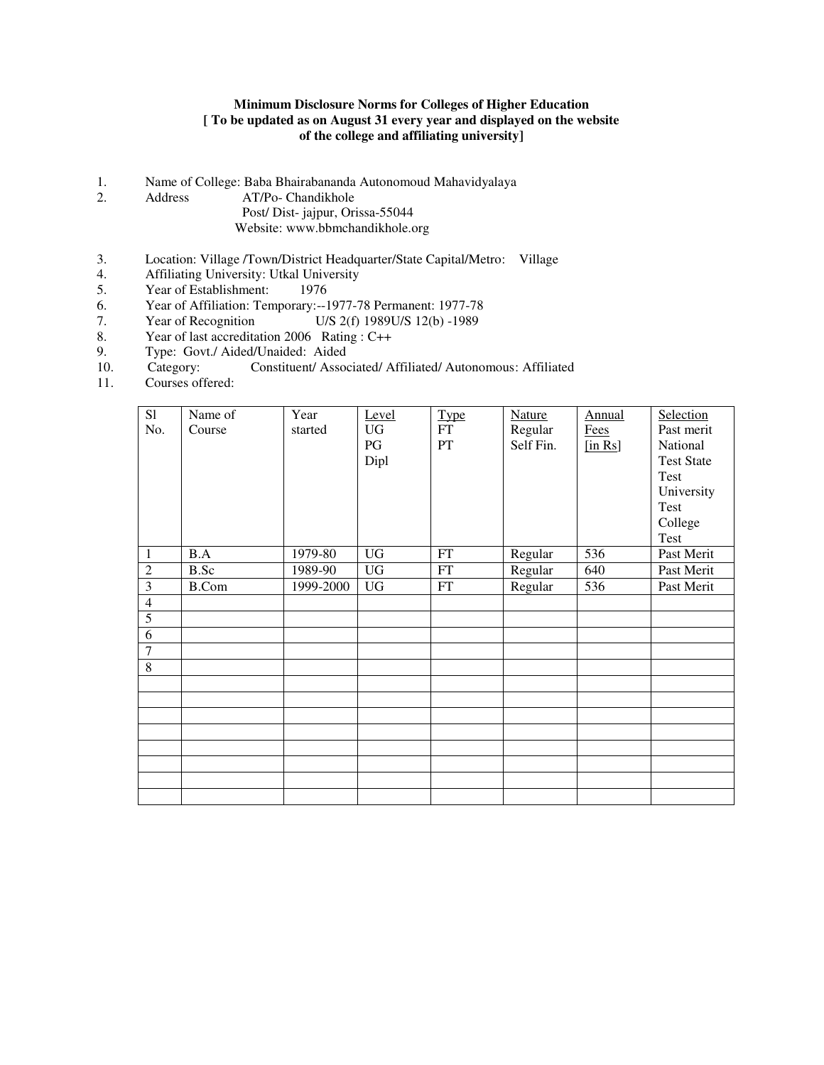#### **Minimum Disclosure Norms for Colleges of Higher Education [ To be updated as on August 31 every year and displayed on the website of the college and affiliating university]**

- 1. Name of College: Baba Bhairabananda Autonomoud Mahavidyalaya
- 2. Address AT/Po- Chandikhole Post/ Dist- jajpur, Orissa-55044 Website: www.bbmchandikhole.org
- 3. Location: Village /Town/District Headquarter/State Capital/Metro: Village
- 4. Affiliating University: Utkal University<br>5. Year of Establishment: 1976
- Year of Establishment:
- 
- 6. Year of Affiliation: Temporary:--1977-78 Permanent: 1977-78<br>7. Year of Recognition U/S 2(f) 1989U/S 12(b) -1989 7. Year of Recognition U/S 2(f) 1989U/S 12(b) -1989
- 8. Year of last accreditation 2006 Rating : C++
- 9. Type: Govt./ Aided/Unaided: Aided
- 10. Category: Constituent/ Associated/ Affiliated/ Autonomous: Affiliated
- 11. Courses offered:

| S1<br>No.      | Name of<br>Course | Year<br>started | Level<br>UG<br>PG<br>Dipl | <b>Type</b><br>FT<br>PT    | <b>Nature</b><br>Regular<br>Self Fin. | Annual<br>Fees<br>$[$ in Rs $]$ | Selection<br>Past merit<br>National<br><b>Test State</b><br>Test<br>University<br>Test<br>College<br>Test |
|----------------|-------------------|-----------------|---------------------------|----------------------------|---------------------------------------|---------------------------------|-----------------------------------------------------------------------------------------------------------|
| $\mathbf{1}$   | B.A               | 1979-80         | <b>UG</b>                 | $\mathop{\rm FT}\nolimits$ | Regular                               | 536                             | Past Merit                                                                                                |
| $\overline{2}$ | B.Sc              | 1989-90         | <b>UG</b>                 | $\mathop{\rm FT}\nolimits$ | Regular                               | 640                             | Past Merit                                                                                                |
| $\overline{3}$ | <b>B.Com</b>      | 1999-2000       | <b>UG</b>                 | FT                         | Regular                               | 536                             | Past Merit                                                                                                |
| $\overline{4}$ |                   |                 |                           |                            |                                       |                                 |                                                                                                           |
| $\overline{5}$ |                   |                 |                           |                            |                                       |                                 |                                                                                                           |
| 6              |                   |                 |                           |                            |                                       |                                 |                                                                                                           |
| $\overline{7}$ |                   |                 |                           |                            |                                       |                                 |                                                                                                           |
| 8              |                   |                 |                           |                            |                                       |                                 |                                                                                                           |
|                |                   |                 |                           |                            |                                       |                                 |                                                                                                           |
|                |                   |                 |                           |                            |                                       |                                 |                                                                                                           |
|                |                   |                 |                           |                            |                                       |                                 |                                                                                                           |
|                |                   |                 |                           |                            |                                       |                                 |                                                                                                           |
|                |                   |                 |                           |                            |                                       |                                 |                                                                                                           |
|                |                   |                 |                           |                            |                                       |                                 |                                                                                                           |
|                |                   |                 |                           |                            |                                       |                                 |                                                                                                           |
|                |                   |                 |                           |                            |                                       |                                 |                                                                                                           |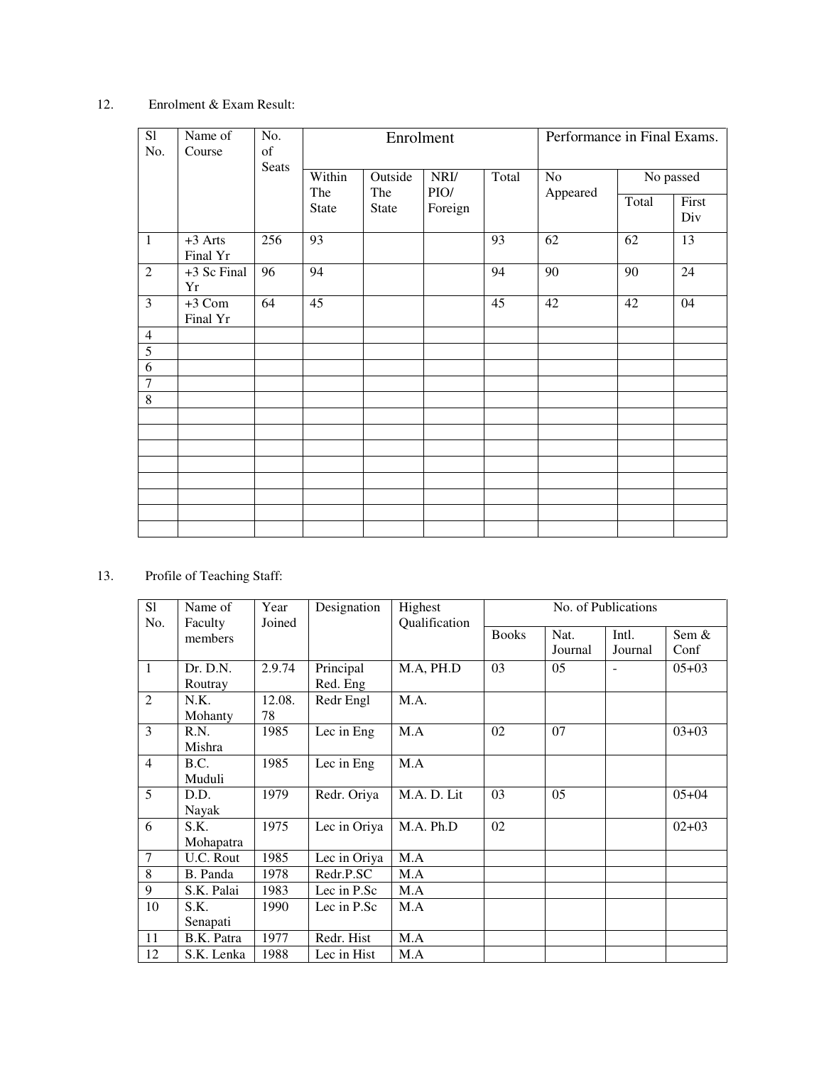#### 12. Enrolment & Exam Result:

| $\overline{SI}$<br>No.           | Name of<br>Course     | No.<br>of | Enrolment     |                |              | Performance in Final Exams. |                |           |                 |
|----------------------------------|-----------------------|-----------|---------------|----------------|--------------|-----------------------------|----------------|-----------|-----------------|
|                                  |                       | Seats     | Within<br>The | Outside<br>The | NRI/<br>PIO/ | Total                       | No<br>Appeared | No passed |                 |
|                                  |                       |           | State         | <b>State</b>   | Foreign      |                             |                | Total     | First<br>Div    |
| $\mathbf{1}$                     | $+3$ Arts<br>Final Yr | 256       | 93            |                |              | 93                          | 62             | 62        | $\overline{13}$ |
| $\overline{2}$                   | +3 Sc Final<br>Yr     | 96        | 94            |                |              | 94                          | 90             | 90        | 24              |
| $\overline{3}$                   | $+3$ Com<br>Final Yr  | 64        | 45            |                |              | 45                          | 42             | 42        | 04              |
| $\overline{4}$                   |                       |           |               |                |              |                             |                |           |                 |
| $\overline{5}$                   |                       |           |               |                |              |                             |                |           |                 |
| $\overline{6}$<br>$\overline{7}$ |                       |           |               |                |              |                             |                |           |                 |
| 8                                |                       |           |               |                |              |                             |                |           |                 |
|                                  |                       |           |               |                |              |                             |                |           |                 |
|                                  |                       |           |               |                |              |                             |                |           |                 |
|                                  |                       |           |               |                |              |                             |                |           |                 |
|                                  |                       |           |               |                |              |                             |                |           |                 |
|                                  |                       |           |               |                |              |                             |                |           |                 |
|                                  |                       |           |               |                |              |                             |                |           |                 |
|                                  |                       |           |               |                |              |                             |                |           |                 |

### 13. Profile of Teaching Staff:

| S1             | Name of             | Year         | Designation           | Highest       |              |                 | No. of Publications |               |
|----------------|---------------------|--------------|-----------------------|---------------|--------------|-----------------|---------------------|---------------|
| No.            | Faculty<br>members  | Joined       |                       | Qualification | <b>Books</b> | Nat.<br>Journal | Intl.<br>Journal    | Sem &<br>Conf |
| $\mathbf{1}$   | Dr. D.N.<br>Routray | 2.9.74       | Principal<br>Red. Eng | M.A, PH.D     | 03           | 05              |                     | $05+03$       |
| 2              | N.K.<br>Mohanty     | 12.08.<br>78 | Redr Engl             | M.A.          |              |                 |                     |               |
| 3              | R.N.<br>Mishra      | 1985         | Lec in Eng            | M.A           | 02           | 07              |                     | $03 + 03$     |
| $\overline{4}$ | B.C.<br>Muduli      | 1985         | Lec in Eng            | M.A           |              |                 |                     |               |
| $\overline{5}$ | D.D.<br>Nayak       | 1979         | Redr. Oriya           | M.A.D. Lit    | 03           | 05              |                     | $05 + 04$     |
| 6              | S.K.<br>Mohapatra   | 1975         | Lec in Oriya          | M.A. Ph.D     | 02           |                 |                     | $02 + 03$     |
| $\overline{7}$ | U.C. Rout           | 1985         | Lec in Oriya          | M.A           |              |                 |                     |               |
| 8              | B. Panda            | 1978         | Redr.P.SC             | M.A           |              |                 |                     |               |
| 9              | S.K. Palai          | 1983         | Lec in P.Sc           | M.A           |              |                 |                     |               |
| 10             | S.K.<br>Senapati    | 1990         | Lec in P.Sc           | M.A           |              |                 |                     |               |
| 11             | B.K. Patra          | 1977         | Redr. Hist            | M.A           |              |                 |                     |               |
| 12             | S.K. Lenka          | 1988         | Lec in Hist           | M.A           |              |                 |                     |               |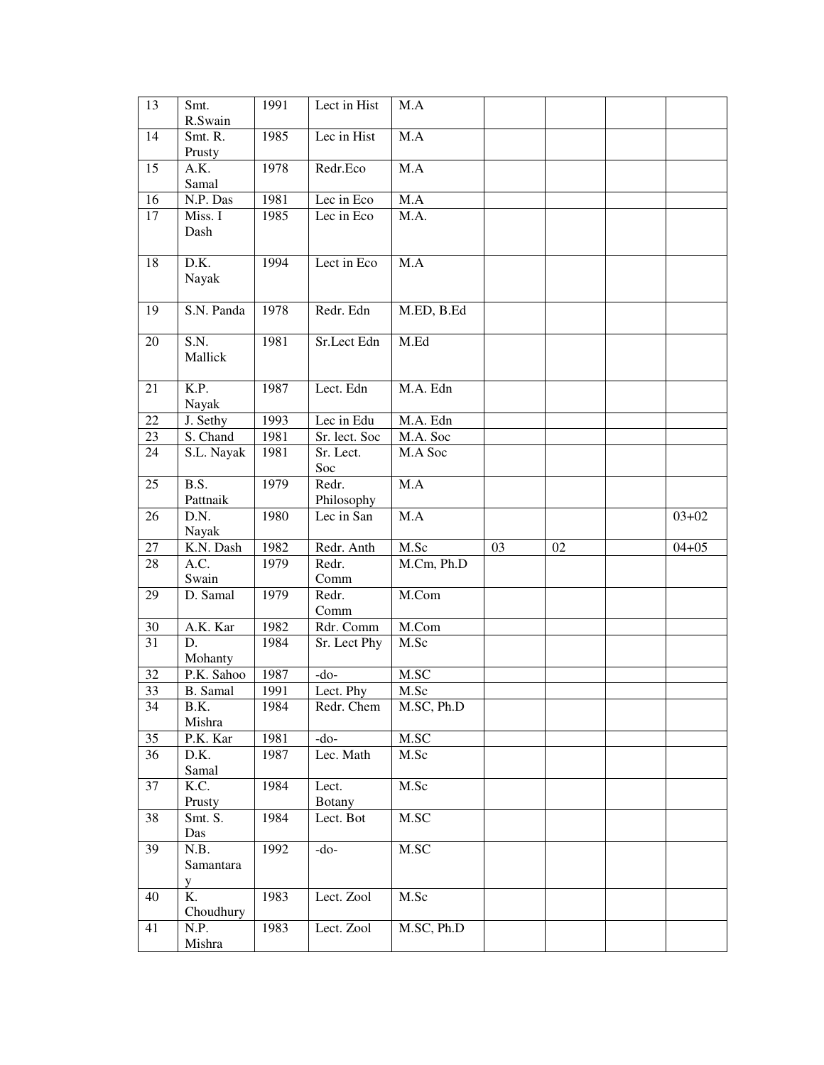| 13 | Smt.<br>R.Swain        | 1991 | Lect in Hist           | M.A          |    |    |           |
|----|------------------------|------|------------------------|--------------|----|----|-----------|
| 14 | Smt. R.<br>Prusty      | 1985 | Lec in Hist            | M.A          |    |    |           |
| 15 | A.K.<br>Samal          | 1978 | Redr.Eco               | M.A          |    |    |           |
| 16 | N.P. Das               | 1981 | Lec in Eco             | M.A          |    |    |           |
| 17 | Miss. I<br>Dash        | 1985 | Lec in Eco             | M.A.         |    |    |           |
| 18 | D.K.<br>Nayak          | 1994 | Lect in Eco            | M.A          |    |    |           |
| 19 | S.N. Panda             | 1978 | Redr. Edn              | M.ED, B.Ed   |    |    |           |
| 20 | S.N.<br>Mallick        | 1981 | Sr.Lect Edn            | M.Ed         |    |    |           |
| 21 | K.P.<br>Nayak          | 1987 | Lect. Edn              | M.A. Edn     |    |    |           |
| 22 | J. Sethy               | 1993 | Lec in Edu             | M.A. Edn     |    |    |           |
| 23 | S. Chand               | 1981 | Sr. lect. Soc          | M.A. Soc     |    |    |           |
| 24 | S.L. Nayak             | 1981 | Sr. Lect.<br>Soc       | M.A Soc      |    |    |           |
| 25 | B.S.<br>Pattnaik       | 1979 | Redr.<br>Philosophy    | M.A          |    |    |           |
| 26 | D.N.<br>Nayak          | 1980 | Lec in San             | M.A          |    |    | $03 + 02$ |
| 27 | K.N. Dash              | 1982 | Redr. Anth             | M.Sc         | 03 | 02 | $04 + 05$ |
| 28 | A.C.<br>Swain          | 1979 | Redr.<br>Comm          | M.Cm, Ph.D   |    |    |           |
| 29 | D. Samal               | 1979 | Redr.<br>Comm          | M.Com        |    |    |           |
| 30 | A.K. Kar               | 1982 | Rdr. Comm              | M.Com        |    |    |           |
| 31 | D.<br>Mohanty          | 1984 | Sr. Lect Phy           | M.Sc         |    |    |           |
| 32 | P.K. Sahoo             | 1987 | -do-                   | M.SC         |    |    |           |
| 33 | B. Samal               | 1991 | Lect. Phy              | M.Sc         |    |    |           |
| 34 | B.K.<br>Mishra         | 1984 | Redr. Chem             | M.SC, Ph.D   |    |    |           |
| 35 | P.K. Kar               | 1981 | $-do-$                 | $\rm M. S C$ |    |    |           |
| 36 | D.K.<br>Samal          | 1987 | Lec. Math              | M.Sc         |    |    |           |
| 37 | K.C.<br>Prusty         | 1984 | Lect.<br><b>Botany</b> | M.Sc         |    |    |           |
| 38 | Smt. S.<br>Das         | 1984 | Lect. Bot              | M.SC         |    |    |           |
| 39 | N.B.<br>Samantara<br>y | 1992 | $-do-$                 | M.SC         |    |    |           |
| 40 | K.<br>Choudhury        | 1983 | Lect. Zool             | M.Sc         |    |    |           |
| 41 | N.P.<br>Mishra         | 1983 | Lect. Zool             | M.SC, Ph.D   |    |    |           |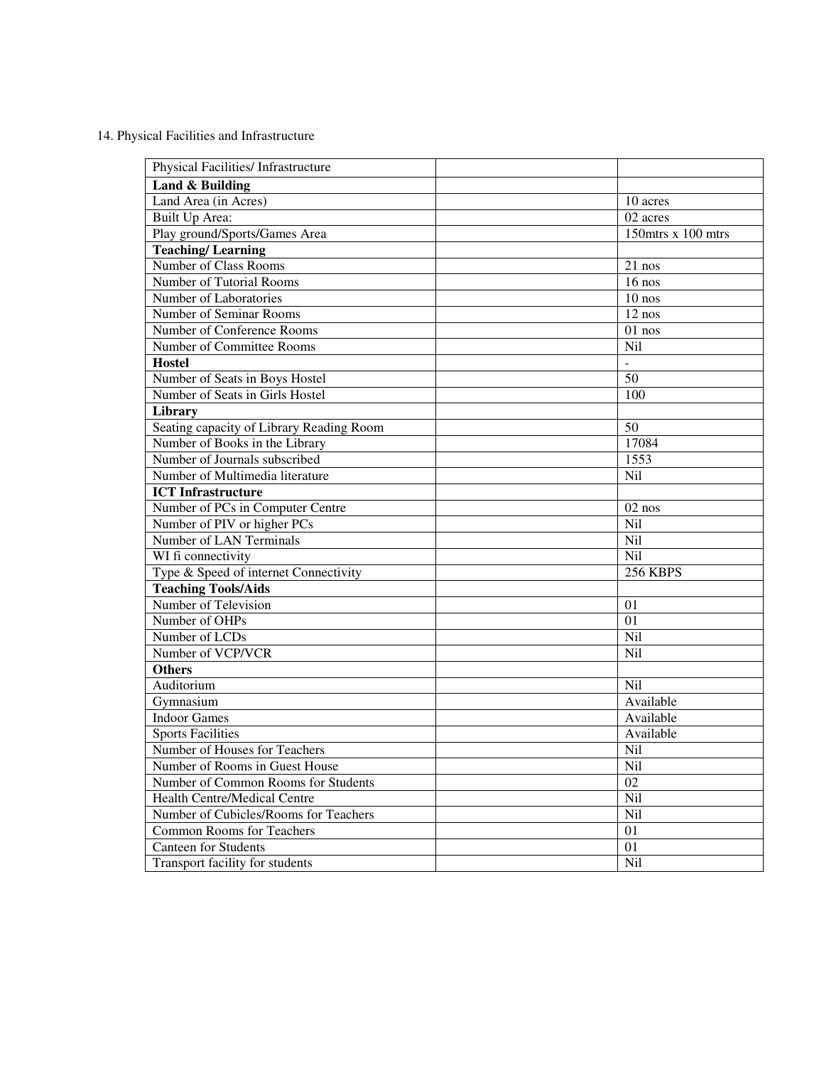14. Physical Facilities and Infrastructure

| Physical Facilities/ Infrastructure      |                       |
|------------------------------------------|-----------------------|
| Land & Building                          |                       |
| Land Area (in Acres)                     | 10 acres              |
| Built Up Area:                           | $\overline{02}$ acres |
| Play ground/Sports/Games Area            | $150$ mtrs x 100 mtrs |
| <b>Teaching/Learning</b>                 |                       |
| Number of Class Rooms                    | 21 nos                |
| Number of Tutorial Rooms                 | $16$ nos              |
| Number of Laboratories                   | $10$ nos              |
| Number of Seminar Rooms                  | $12$ nos              |
| Number of Conference Rooms               | $01$ nos              |
| Number of Committee Rooms                | Nil                   |
| <b>Hostel</b>                            | $\mathbb{L}$          |
| Number of Seats in Boys Hostel           | 50                    |
| Number of Seats in Girls Hostel          | 100                   |
| <b>Library</b>                           |                       |
| Seating capacity of Library Reading Room | 50                    |
| Number of Books in the Library           | 17084                 |
| Number of Journals subscribed            | 1553                  |
| Number of Multimedia literature          | Nil                   |
| <b>ICT</b> Infrastructure                |                       |
| Number of PCs in Computer Centre         | $02$ nos              |
| Number of PIV or higher PCs              | Nil                   |
| Number of LAN Terminals                  | Nil                   |
| WI fi connectivity                       | <b>Nil</b>            |
| Type & Speed of internet Connectivity    | <b>256 KBPS</b>       |
| <b>Teaching Tools/Aids</b>               |                       |
| Number of Television                     | 01                    |
| Number of OHPs                           | 01                    |
| Number of LCDs                           | Nil                   |
| Number of VCP/VCR                        | Nil                   |
| <b>Others</b>                            |                       |
| Auditorium                               | Nil                   |
| Gymnasium                                | Available             |
| <b>Indoor Games</b>                      | Available             |
| <b>Sports Facilities</b>                 | Available             |
| Number of Houses for Teachers            | Nil                   |
| Number of Rooms in Guest House           | Nil                   |
| Number of Common Rooms for Students      | 02                    |
| Health Centre/Medical Centre             | Nil                   |
| Number of Cubicles/Rooms for Teachers    | Nil                   |
| <b>Common Rooms for Teachers</b>         | 01                    |
| <b>Canteen for Students</b>              | 01                    |
| Transport facility for students          | Nil                   |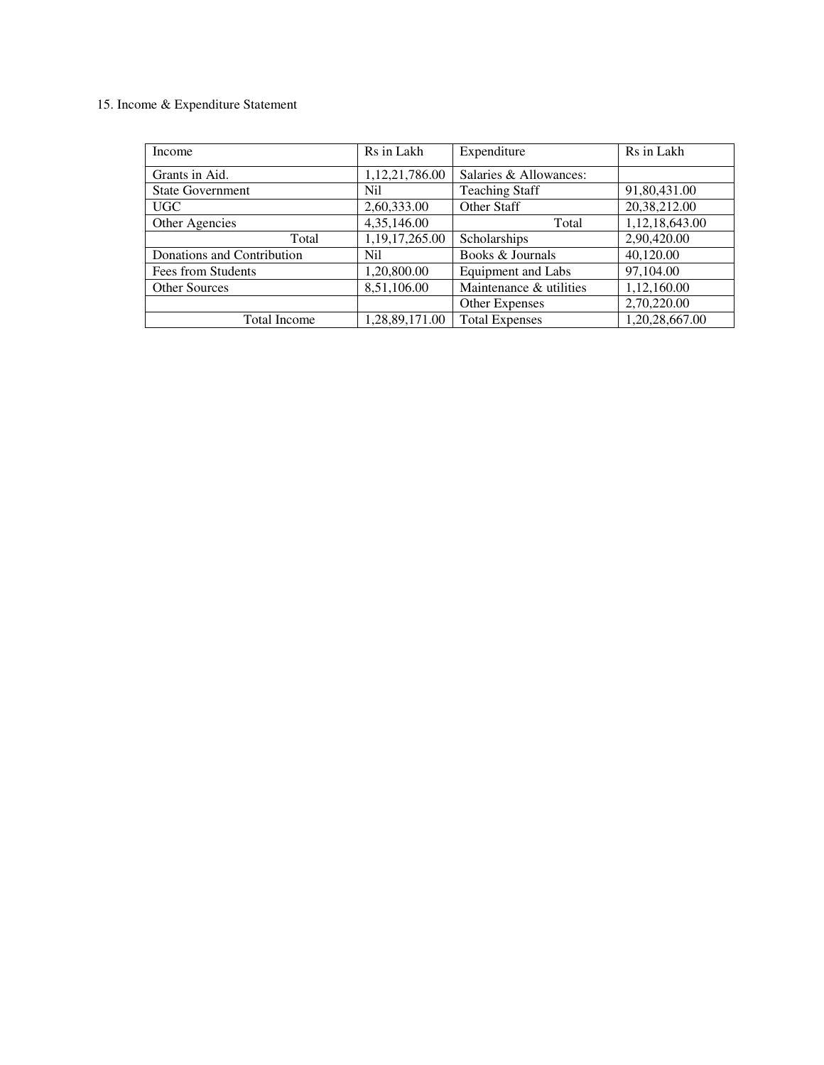#### 15. Income & Expenditure Statement

| Income                     | Rs in Lakh     | Expenditure               | Rs in Lakh     |
|----------------------------|----------------|---------------------------|----------------|
| Grants in Aid.             | 1,12,21,786.00 | Salaries & Allowances:    |                |
| <b>State Government</b>    | N <sub>i</sub> | <b>Teaching Staff</b>     | 91,80,431.00   |
| UGC                        | 2,60,333.00    | Other Staff               | 20,38,212.00   |
| Other Agencies             | 4,35,146.00    | Total                     | 1,12,18,643.00 |
| Total                      | 1,19,17,265.00 | Scholarships              | 2,90,420.00    |
| Donations and Contribution | N <sub>i</sub> | Books & Journals          | 40,120.00      |
| Fees from Students         | 1,20,800.00    | <b>Equipment and Labs</b> | 97,104.00      |
| <b>Other Sources</b>       | 8,51,106.00    | Maintenance & utilities   | 1,12,160.00    |
|                            |                | <b>Other Expenses</b>     | 2,70,220.00    |
| <b>Total Income</b>        | 1,28,89,171.00 | <b>Total Expenses</b>     | 1,20,28,667.00 |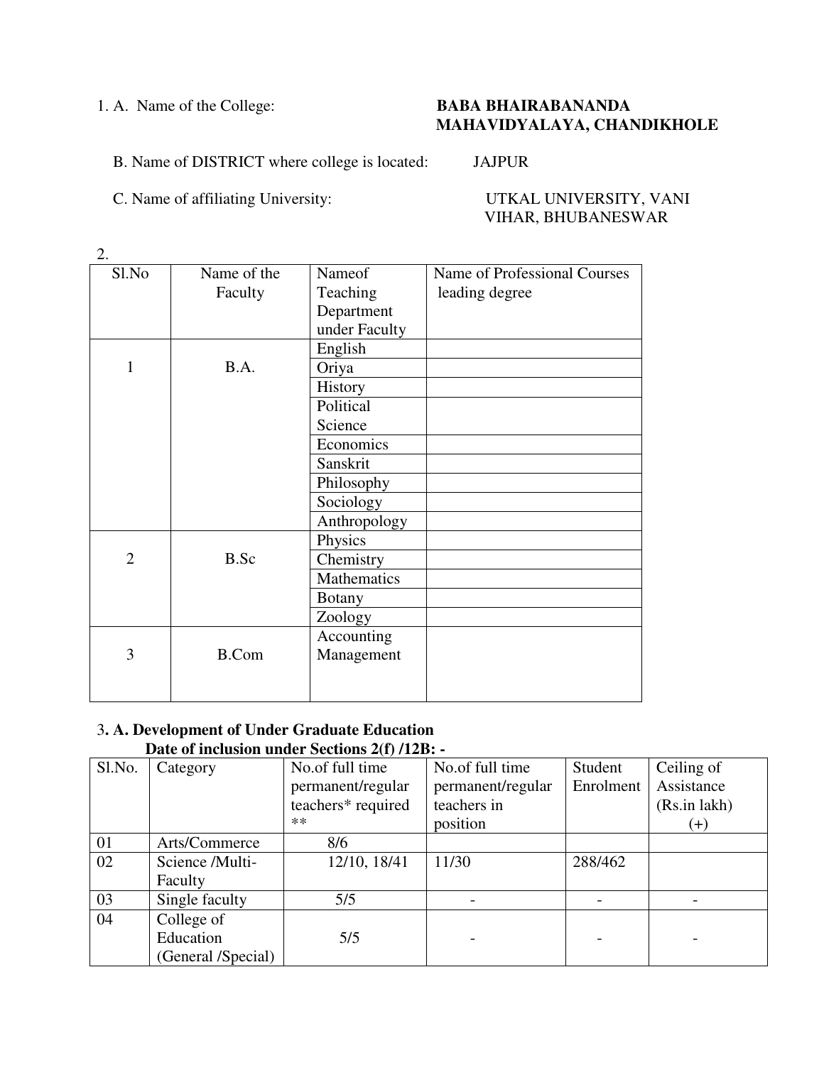## 1. A. Name of the College: **BABA BHAIRABANANDA MAHAVIDYALAYA, CHANDIKHOLE**

## B. Name of DISTRICT where college is located: JAJPUR

C. Name of affiliating University: UTKAL UNIVERSITY, VANI

VIHAR, BHUBANESWAR

| Sl.No          | Name of the  | Nameof        | Name of Professional Courses |
|----------------|--------------|---------------|------------------------------|
|                | Faculty      | Teaching      | leading degree               |
|                |              | Department    |                              |
|                |              | under Faculty |                              |
|                |              | English       |                              |
| $\mathbf{1}$   | B.A.         | Oriya         |                              |
|                |              | History       |                              |
|                |              | Political     |                              |
|                |              | Science       |                              |
|                |              | Economics     |                              |
|                |              | Sanskrit      |                              |
|                |              | Philosophy    |                              |
|                |              | Sociology     |                              |
|                |              | Anthropology  |                              |
|                |              | Physics       |                              |
| $\overline{2}$ | B.Sc         | Chemistry     |                              |
|                |              | Mathematics   |                              |
|                |              | <b>Botany</b> |                              |
|                |              | Zoology       |                              |
|                |              | Accounting    |                              |
| 3              | <b>B.Com</b> | Management    |                              |
|                |              |               |                              |
|                |              |               |                              |

#### 3**. A. Development of Under Graduate Education Date of inclusion under Sections 2(f) /12B: -**

| Sl.No. | Category           | No.of full time<br>permanent/regular<br>teachers* required<br>$**$ | No.of full time<br>permanent/regular<br>teachers in<br>position | Student<br>Enrolment | Ceiling of<br>Assistance<br>(Rs.in lakh)<br>$(+)$ |
|--------|--------------------|--------------------------------------------------------------------|-----------------------------------------------------------------|----------------------|---------------------------------------------------|
| 01     | Arts/Commerce      | 8/6                                                                |                                                                 |                      |                                                   |
| 02     | Science /Multi-    | 12/10, 18/41                                                       | 11/30                                                           | 288/462              |                                                   |
|        | Faculty            |                                                                    |                                                                 |                      |                                                   |
| 03     | Single faculty     | 5/5                                                                |                                                                 |                      |                                                   |
| 04     | College of         |                                                                    |                                                                 |                      |                                                   |
|        | Education          | 5/5                                                                |                                                                 |                      |                                                   |
|        | (General /Special) |                                                                    |                                                                 |                      |                                                   |

2.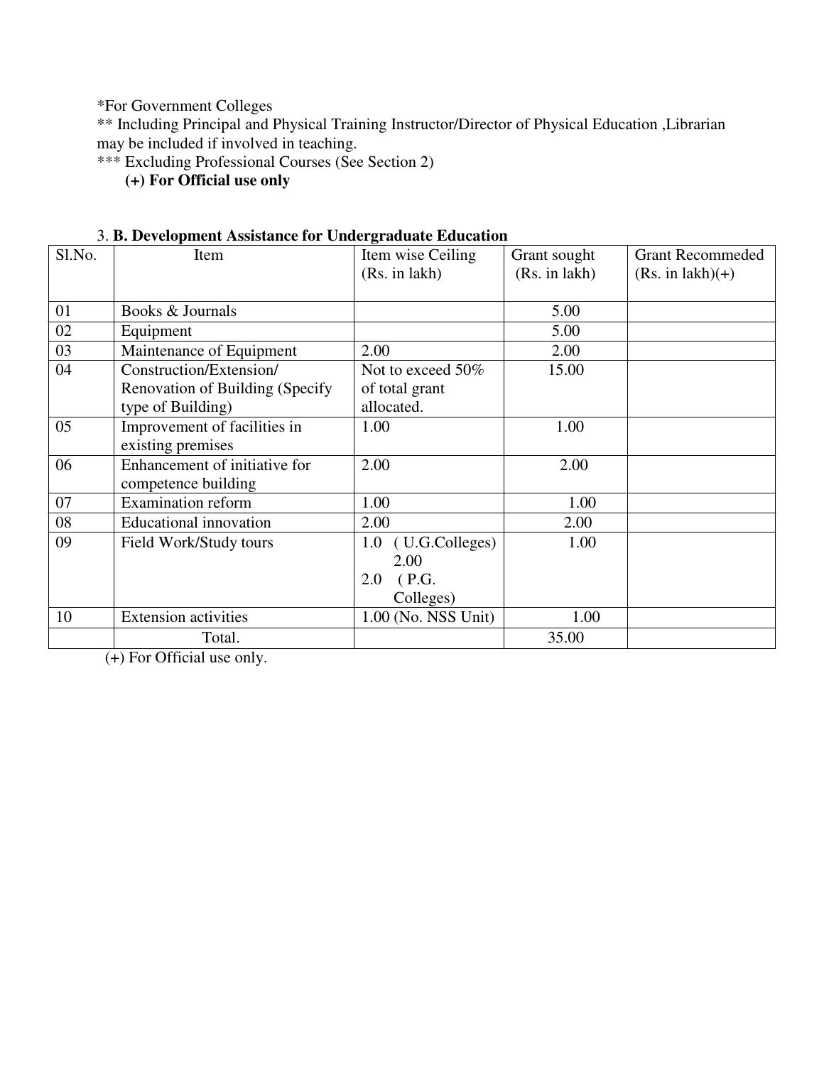\*For Government Colleges

\*\* Including Principal and Physical Training Instructor/Director of Physical Education ,Librarian may be included if involved in teaching.

\*\*\* Excluding Professional Courses (See Section 2)

**(+) For Official use only** 

| 3. B. Development Assistance for Undergraduate Education |  |
|----------------------------------------------------------|--|
|----------------------------------------------------------|--|

| Sl.No. | Item                             | Item wise Ceiling   | Grant sought  | <b>Grant Recommeded</b> |
|--------|----------------------------------|---------------------|---------------|-------------------------|
|        |                                  | (Rs. in lakh)       | (Rs. in lakh) | $(Rs. in 1akh)(+)$      |
|        |                                  |                     |               |                         |
| 01     | Books & Journals                 |                     | 5.00          |                         |
| 02     | Equipment                        |                     | 5.00          |                         |
| 03     | Maintenance of Equipment         | 2.00                | 2.00          |                         |
| 04     | Construction/Extension/          | Not to exceed 50%   | 15.00         |                         |
|        | Renovation of Building (Specify) | of total grant      |               |                         |
|        | type of Building)                | allocated.          |               |                         |
| 05     | Improvement of facilities in     | 1.00                | 1.00          |                         |
|        | existing premises                |                     |               |                         |
| 06     | Enhancement of initiative for    | 2.00                | 2.00          |                         |
|        | competence building              |                     |               |                         |
| 07     | <b>Examination reform</b>        | 1.00                | 1.00          |                         |
| 08     | <b>Educational innovation</b>    | 2.00                | 2.00          |                         |
| 09     | Field Work/Study tours           | 1.0 (U.G.Colleges)  | 1.00          |                         |
|        |                                  | 2.00                |               |                         |
|        |                                  | (P.G.<br>2.0        |               |                         |
|        |                                  | Colleges)           |               |                         |
| 10     | <b>Extension activities</b>      | 1.00 (No. NSS Unit) | 1.00          |                         |
|        | Total.                           |                     | 35.00         |                         |

(+) For Official use only.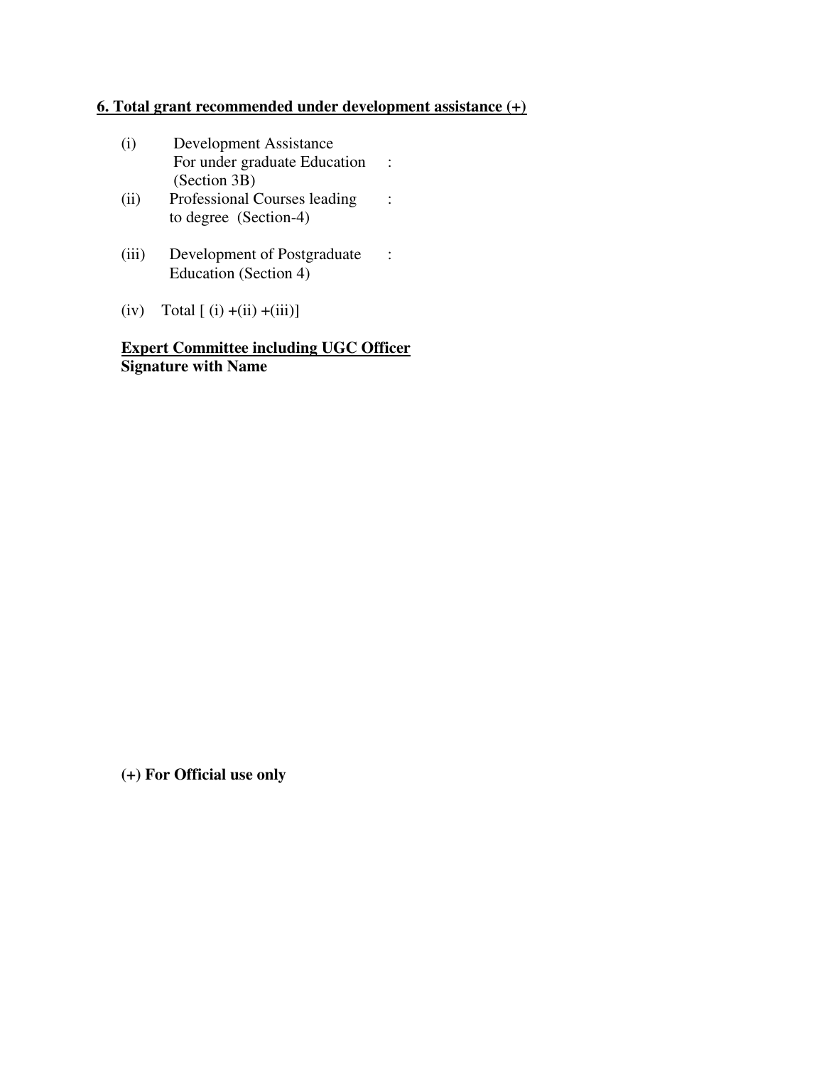## **6. Total grant recommended under development assistance (+)**

- (i) Development Assistance For under graduate Education : (Section 3B)<br>(ii) Professional C
- Professional Courses leading : to degree (Section-4)
- (iii) Development of Postgraduate : Education (Section 4)
- (iv) Total  $[(i) + (ii) + (iii)]$

**Expert Committee including UGC Officer Signature with Name** 

**(+) For Official use only**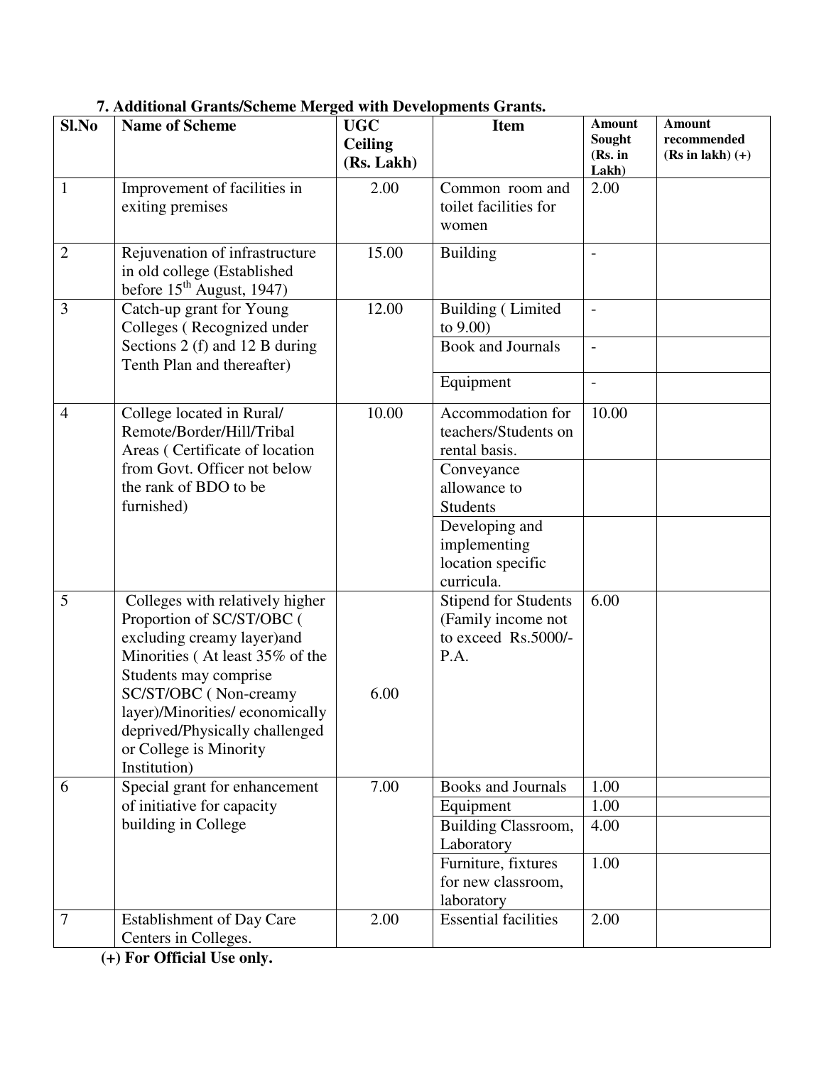| Sl.No            | <b>Name of Scheme</b>                                                                                                                                  | <b>UGC</b><br><b>Ceiling</b> | <b>Item</b>                                                                      | <b>Amount</b><br>Sought      | <b>Amount</b><br>recommended |
|------------------|--------------------------------------------------------------------------------------------------------------------------------------------------------|------------------------------|----------------------------------------------------------------------------------|------------------------------|------------------------------|
|                  |                                                                                                                                                        | (Rs. Lakh)                   |                                                                                  | (Rs. in<br>Lakh)             | $(Rs in lakh) (+)$           |
| $\mathbf{1}$     | Improvement of facilities in<br>exiting premises                                                                                                       | 2.00                         | Common room and<br>toilet facilities for<br>women                                | 2.00                         |                              |
| $\overline{2}$   | Rejuvenation of infrastructure<br>in old college (Established<br>before $15^{\text{th}}$ August, 1947)                                                 | 15.00                        | <b>Building</b>                                                                  | $\qquad \qquad -$            |                              |
| 3                | Catch-up grant for Young<br>Colleges (Recognized under                                                                                                 | 12.00                        | Building (Limited<br>to $9.00$                                                   | $\overline{\phantom{a}}$     |                              |
|                  | Sections 2 (f) and 12 B during<br>Tenth Plan and thereafter)                                                                                           |                              | <b>Book and Journals</b>                                                         | $\overline{\phantom{0}}$     |                              |
|                  |                                                                                                                                                        |                              | Equipment                                                                        | $\qquad \qquad \blacksquare$ |                              |
| $\overline{4}$   | College located in Rural/<br>Remote/Border/Hill/Tribal<br>Areas (Certificate of location                                                               | 10.00                        | Accommodation for<br>teachers/Students on<br>rental basis.                       | 10.00                        |                              |
|                  | from Govt. Officer not below<br>the rank of BDO to be<br>furnished)                                                                                    |                              | Conveyance<br>allowance to<br>Students                                           |                              |                              |
|                  |                                                                                                                                                        |                              | Developing and<br>implementing<br>location specific<br>curricula.                |                              |                              |
| 5                | Colleges with relatively higher<br>Proportion of SC/ST/OBC (<br>excluding creamy layer)and<br>Minorities (At least 35% of the<br>Students may comprise |                              | <b>Stipend for Students</b><br>(Family income not<br>to exceed Rs.5000/-<br>P.A. | 6.00                         |                              |
|                  | SC/ST/OBC (Non-creamy<br>layer)/Minorities/economically<br>deprived/Physically challenged<br>or College is Minority<br>Institution)                    | 6.00                         |                                                                                  |                              |                              |
| 6                | Special grant for enhancement                                                                                                                          | 7.00                         | <b>Books and Journals</b>                                                        | 1.00                         |                              |
|                  | of initiative for capacity                                                                                                                             |                              | Equipment                                                                        | 1.00                         |                              |
|                  | building in College                                                                                                                                    |                              | Building Classroom,<br>Laboratory                                                | 4.00                         |                              |
|                  |                                                                                                                                                        |                              | Furniture, fixtures<br>for new classroom,<br>laboratory                          | 1.00                         |                              |
| $\boldsymbol{7}$ | <b>Establishment of Day Care</b><br>Centers in Colleges.                                                                                               | 2.00                         | <b>Essential facilities</b>                                                      | 2.00                         |                              |

# **7. Additional Grants/Scheme Merged with Developments Grants.**

**(+) For Official Use only.**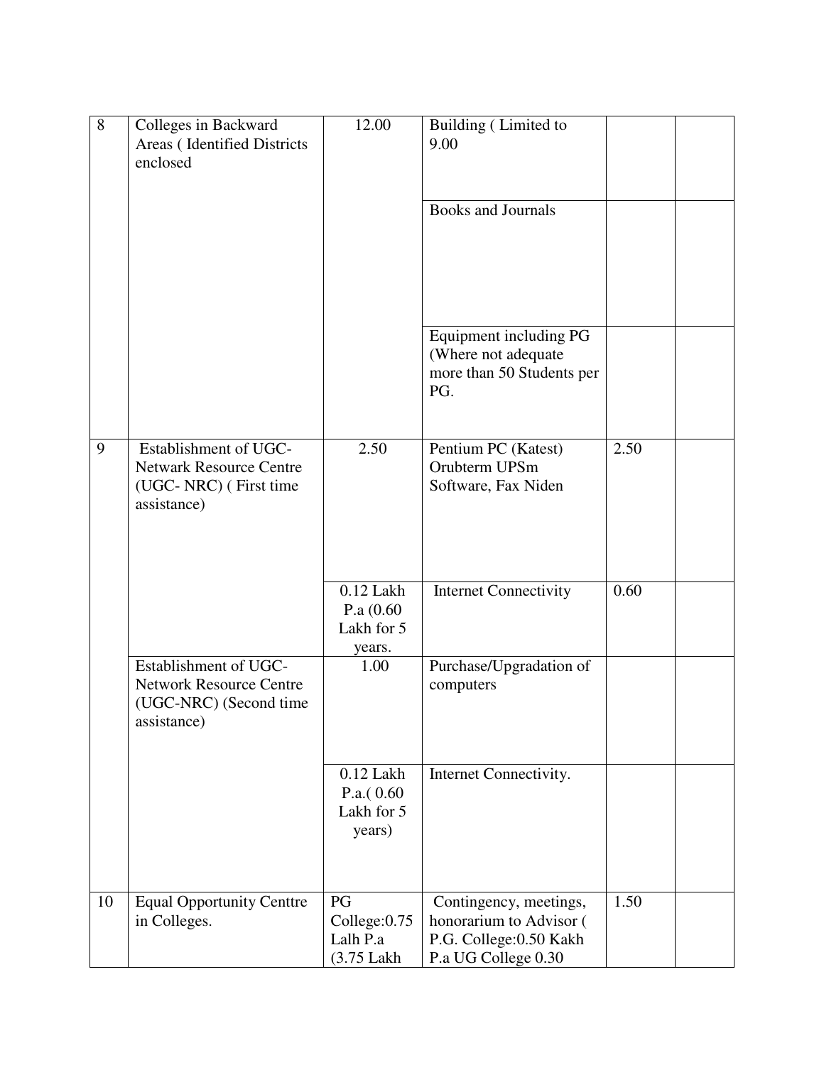| 8  | Colleges in Backward<br>Areas (Identified Districts<br>enclosed                                  | 12.00                                                | Building (Limited to<br>9.00                                                                        |      |  |
|----|--------------------------------------------------------------------------------------------------|------------------------------------------------------|-----------------------------------------------------------------------------------------------------|------|--|
|    |                                                                                                  |                                                      | <b>Books and Journals</b>                                                                           |      |  |
|    |                                                                                                  |                                                      | Equipment including PG<br>(Where not adequate<br>more than 50 Students per<br>PG.                   |      |  |
| 9  | Establishment of UGC-<br><b>Netwark Resource Centre</b><br>(UGC-NRC) (First time<br>assistance)  | 2.50                                                 | Pentium PC (Katest)<br>Orubterm UPSm<br>Software, Fax Niden                                         | 2.50 |  |
|    |                                                                                                  | $0.12$ Lakh<br>P.a $(0.60)$<br>Lakh for 5<br>years.  | <b>Internet Connectivity</b>                                                                        | 0.60 |  |
|    | Establishment of UGC-<br><b>Network Resource Centre</b><br>(UGC-NRC) (Second time<br>assistance) | 1.00                                                 | Purchase/Upgradation of<br>computers                                                                |      |  |
|    |                                                                                                  | $0.12$ Lakh<br>P.a. $(0.60)$<br>Lakh for 5<br>years) | Internet Connectivity.                                                                              |      |  |
| 10 | <b>Equal Opportunity Centtre</b><br>in Colleges.                                                 | PG<br>College:0.75<br>Lalh P.a<br>(3.75 Lakh         | Contingency, meetings,<br>honorarium to Advisor (<br>P.G. College: 0.50 Kakh<br>P.a UG College 0.30 | 1.50 |  |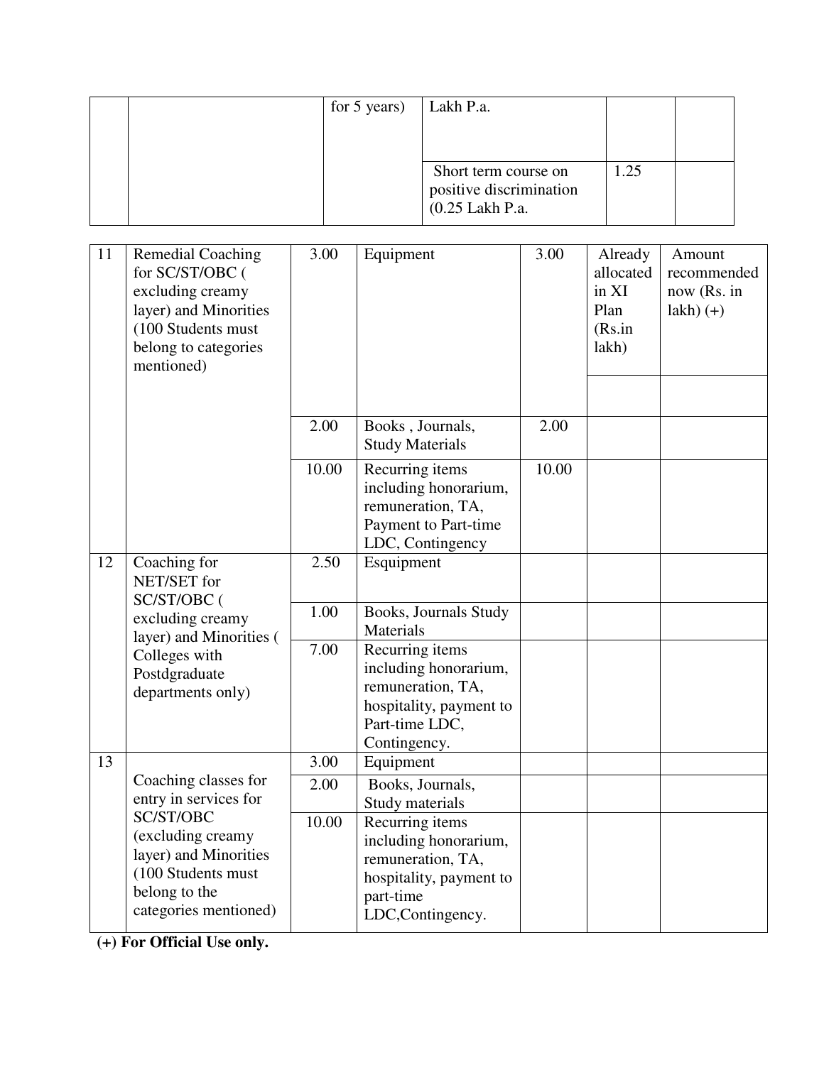|  | for 5 years) | Lakh P.a.               |      |  |
|--|--------------|-------------------------|------|--|
|  |              |                         |      |  |
|  |              |                         |      |  |
|  |              | Short term course on    | 1.25 |  |
|  |              | positive discrimination |      |  |
|  |              | (0.25 Lakh P.a.         |      |  |

| 11 | <b>Remedial Coaching</b><br>for SC/ST/OBC (<br>excluding creamy<br>layer) and Minorities<br>(100 Students must<br>belong to categories<br>mentioned)                     | 3.00  | Equipment                                                                                                                  | 3.00  | Already<br>allocated<br>in XI<br>Plan<br>(Rs.in<br>lakh) | Amount<br>recommended<br>now (Rs. in<br>$lakh)$ $(+)$ |
|----|--------------------------------------------------------------------------------------------------------------------------------------------------------------------------|-------|----------------------------------------------------------------------------------------------------------------------------|-------|----------------------------------------------------------|-------------------------------------------------------|
|    |                                                                                                                                                                          | 2.00  | Books, Journals,<br><b>Study Materials</b>                                                                                 | 2.00  |                                                          |                                                       |
|    |                                                                                                                                                                          | 10.00 | Recurring items<br>including honorarium,<br>remuneration, TA,<br>Payment to Part-time<br>LDC, Contingency                  | 10.00 |                                                          |                                                       |
| 12 | Coaching for<br>NET/SET for<br>SC/ST/OBC (                                                                                                                               | 2.50  | Esquipment                                                                                                                 |       |                                                          |                                                       |
|    | excluding creamy<br>layer) and Minorities (<br>Colleges with<br>Postdgraduate<br>departments only)                                                                       | 1.00  | Books, Journals Study<br>Materials                                                                                         |       |                                                          |                                                       |
|    |                                                                                                                                                                          | 7.00  | Recurring items<br>including honorarium,<br>remuneration, TA,<br>hospitality, payment to<br>Part-time LDC,<br>Contingency. |       |                                                          |                                                       |
| 13 | Coaching classes for<br>entry in services for<br>SC/ST/OBC<br>(excluding creamy<br>layer) and Minorities<br>(100 Students must<br>belong to the<br>categories mentioned) | 3.00  | Equipment                                                                                                                  |       |                                                          |                                                       |
|    |                                                                                                                                                                          | 2.00  | Books, Journals,<br>Study materials                                                                                        |       |                                                          |                                                       |
|    |                                                                                                                                                                          | 10.00 | Recurring items<br>including honorarium,<br>remuneration, TA,<br>hospitality, payment to<br>part-time<br>LDC,Contingency.  |       |                                                          |                                                       |

**(+) For Official Use only.**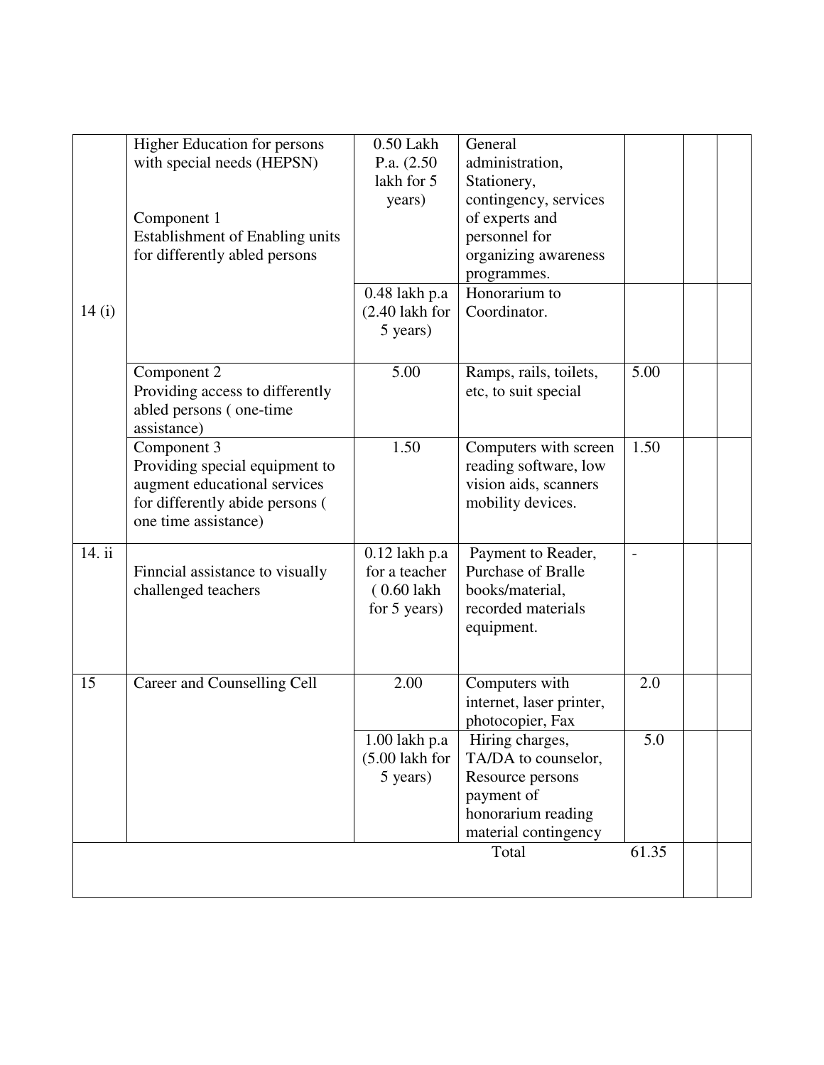| 14(i)  | <b>Higher Education for persons</b><br>with special needs (HEPSN)<br>Component 1<br><b>Establishment of Enabling units</b><br>for differently abled persons | $0.50$ Lakh<br>P.a. $(2.50)$<br>lakh for 5<br>years)<br>$0.48$ lakh p.a<br>$(2.40$ lakh for<br>5 years) | General<br>administration,<br>Stationery,<br>contingency, services<br>of experts and<br>personnel for<br>organizing awareness<br>programmes.<br>Honorarium to<br>Coordinator. |                          |  |
|--------|-------------------------------------------------------------------------------------------------------------------------------------------------------------|---------------------------------------------------------------------------------------------------------|-------------------------------------------------------------------------------------------------------------------------------------------------------------------------------|--------------------------|--|
|        | Component 2<br>Providing access to differently<br>abled persons (one-time<br>assistance)                                                                    | 5.00                                                                                                    | Ramps, rails, toilets,<br>etc, to suit special                                                                                                                                | 5.00                     |  |
|        | Component 3<br>Providing special equipment to<br>augment educational services<br>for differently abide persons (<br>one time assistance)                    | 1.50                                                                                                    | Computers with screen<br>reading software, low<br>vision aids, scanners<br>mobility devices.                                                                                  | 1.50                     |  |
| 14. ii | Finncial assistance to visually<br>challenged teachers                                                                                                      | $0.12$ lakh p.a<br>for a teacher<br>$(0.60$ lakh<br>for 5 years)                                        | Payment to Reader,<br><b>Purchase of Bralle</b><br>books/material,<br>recorded materials<br>equipment.                                                                        | $\overline{\phantom{a}}$ |  |
| 15     | Career and Counselling Cell                                                                                                                                 | 2.00                                                                                                    | Computers with<br>internet, laser printer,<br>photocopier, Fax                                                                                                                | 2.0                      |  |
|        |                                                                                                                                                             | 1.00 lakh p.a<br>$(5.00$ lakh for<br>5 years)                                                           | Hiring charges,<br>TA/DA to counselor,<br>Resource persons<br>payment of<br>honorarium reading<br>material contingency                                                        | 5.0                      |  |
|        |                                                                                                                                                             |                                                                                                         | Total                                                                                                                                                                         | 61.35                    |  |